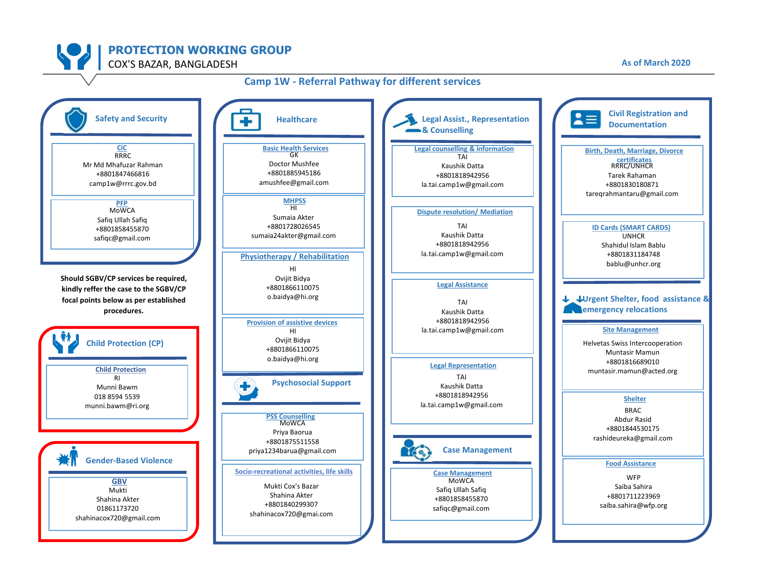**PROTECTION WORKING GROUP**

COX'S BAZAR, BANGLADESH **As of March 2020**

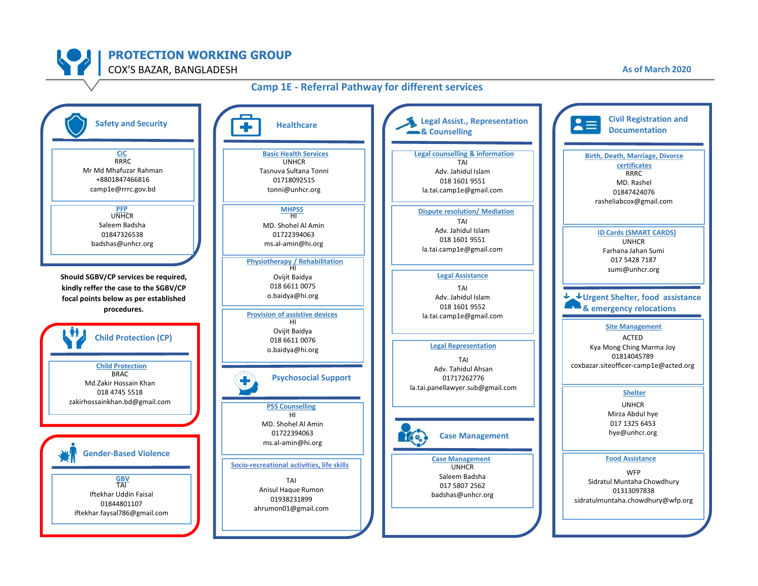

## **Camp 1E - Referral Pathway for different services**

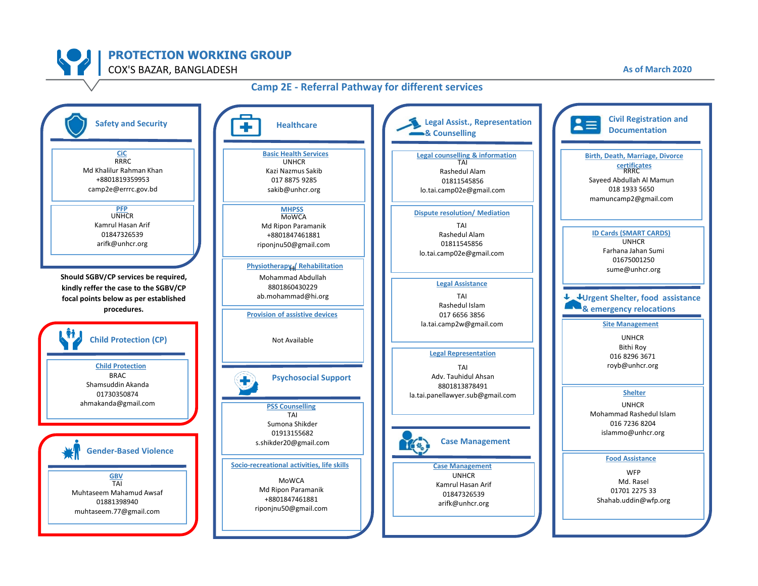

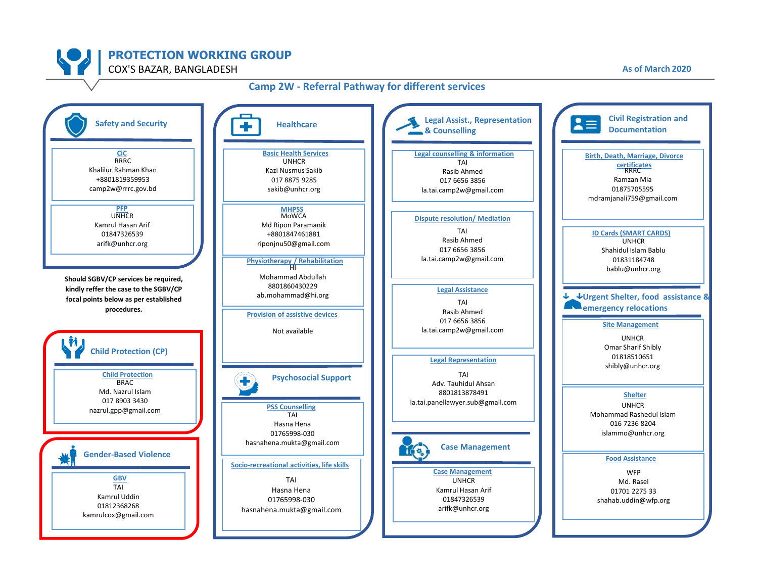

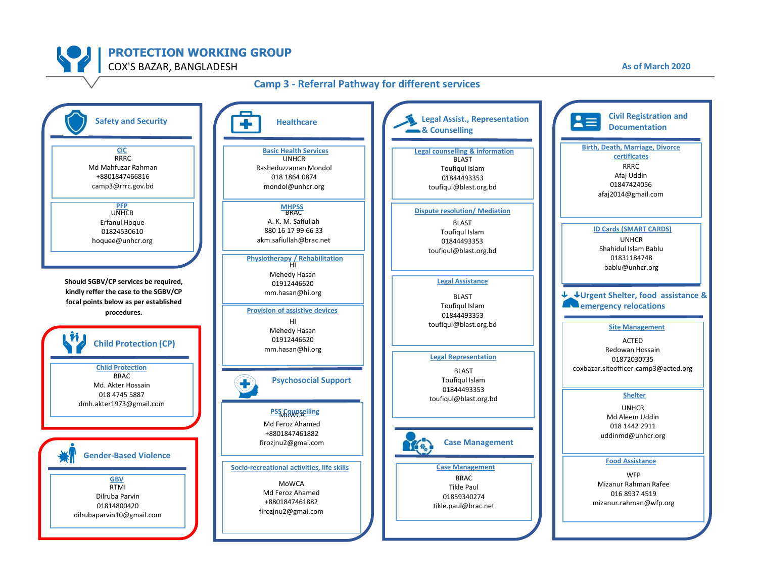

## **Camp 3 - Referral Pathway for different services**

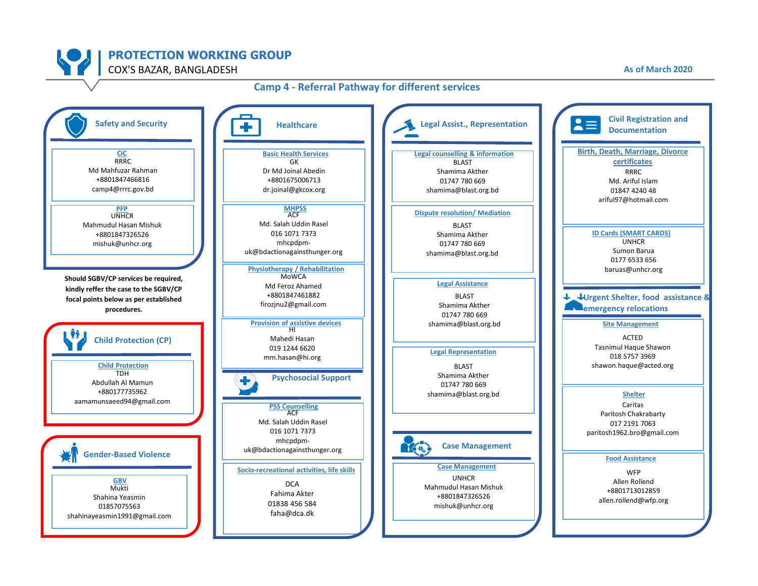

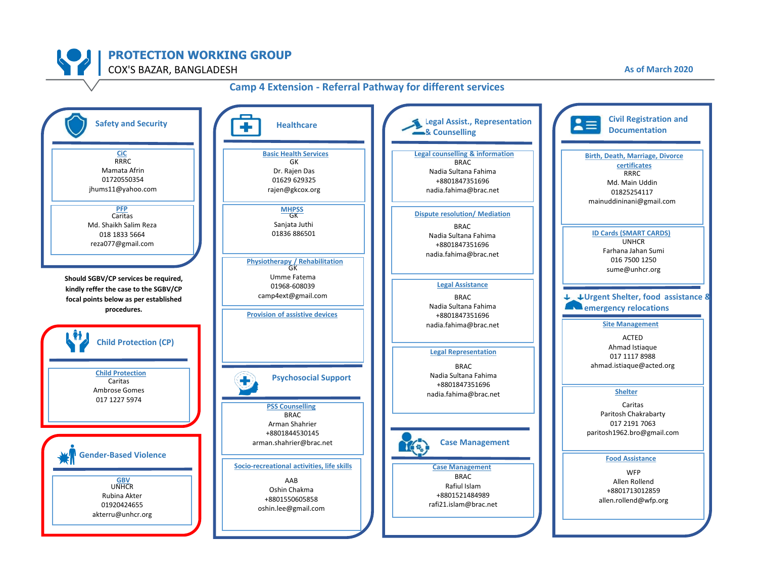

# **PROTECTION WORKING GROUP**

COX'S BAZAR, BANGLADESH **As of March 2020**

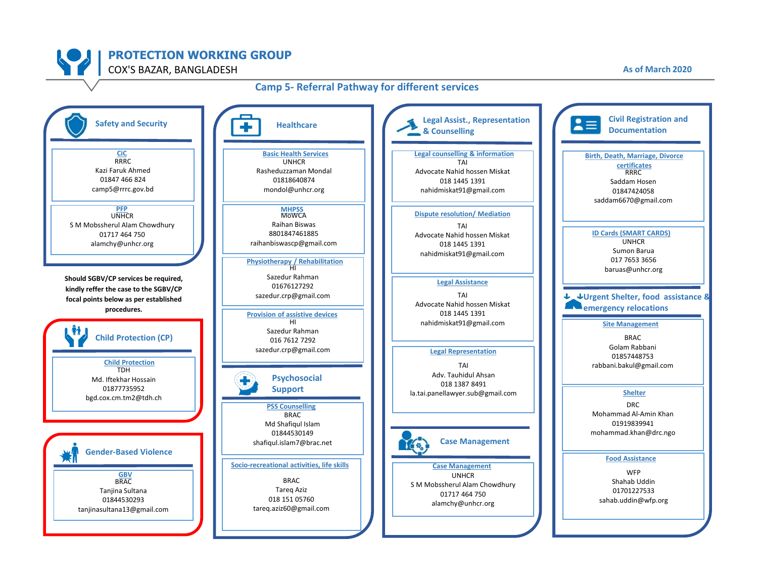

## **Camp 5- Referral Pathway for different services**

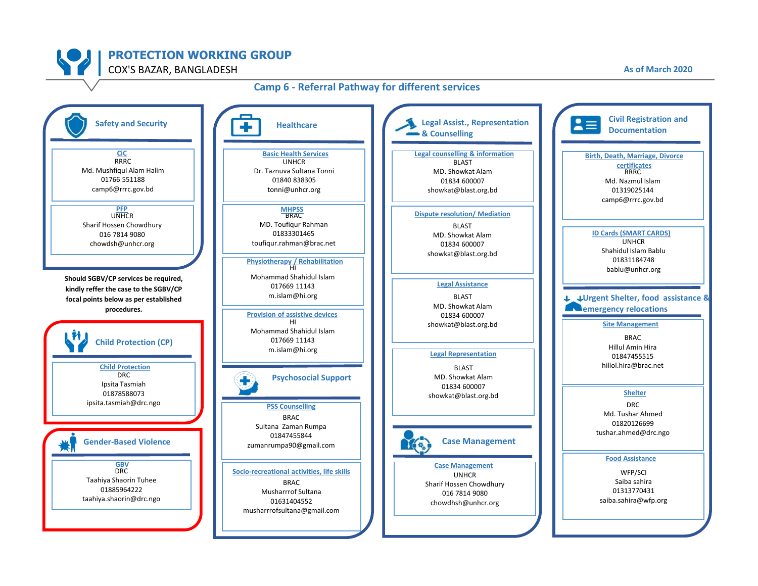

#### **Camp 6 - Referral Pathway for different services**

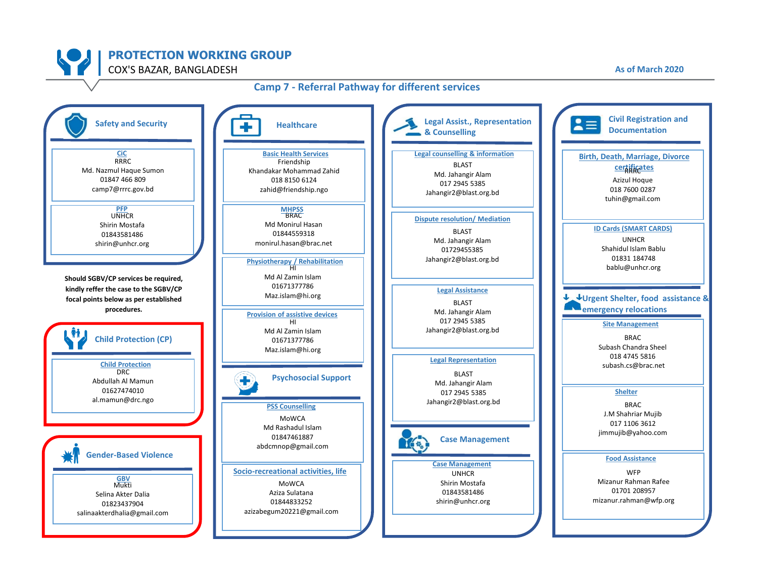![](_page_9_Picture_0.jpeg)

![](_page_9_Figure_2.jpeg)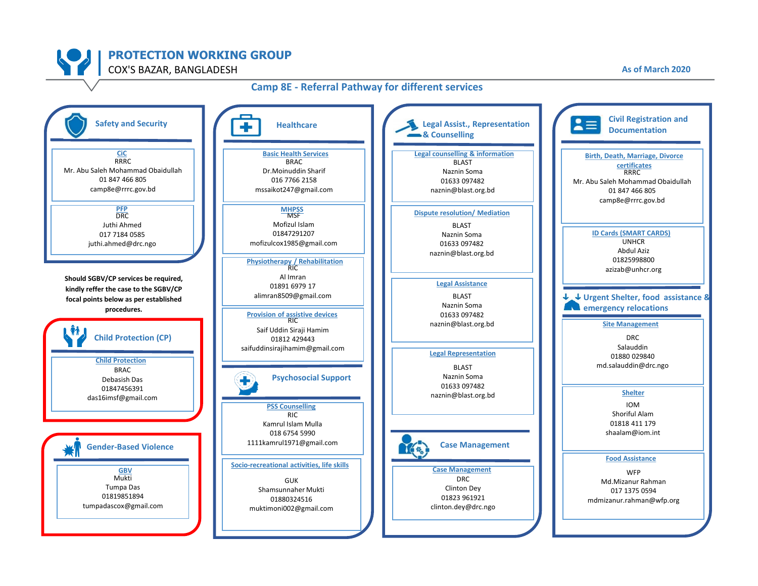![](_page_10_Picture_0.jpeg)

# **Camp 8E - Referral Pathway for different services**

![](_page_10_Figure_2.jpeg)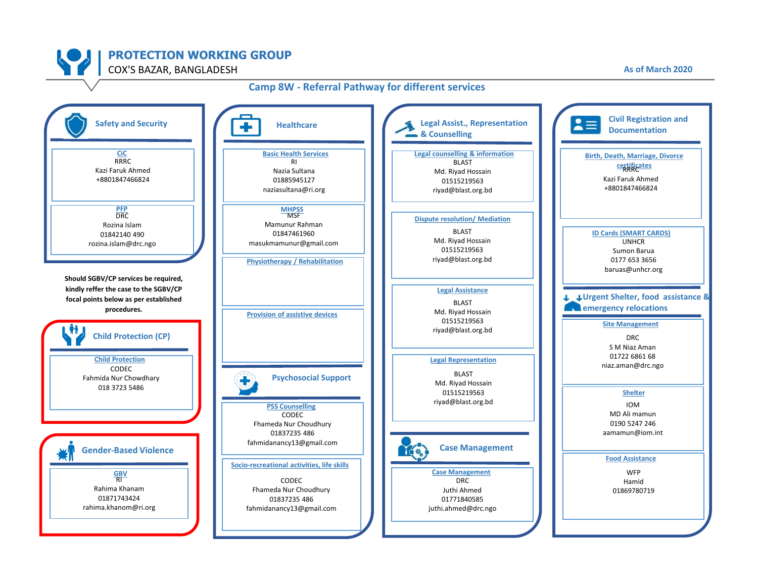![](_page_11_Picture_0.jpeg)

![](_page_11_Figure_2.jpeg)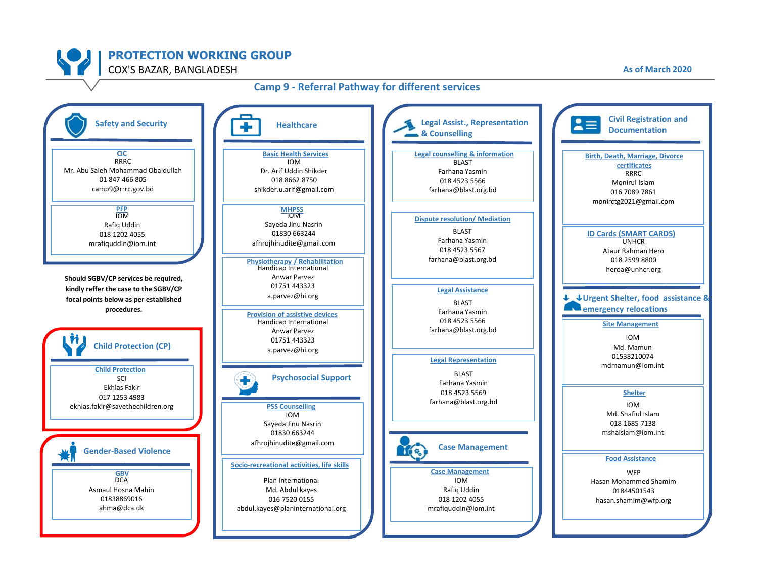![](_page_12_Picture_0.jpeg)

#### **Camp 9 - Referral Pathway for different services**

![](_page_12_Figure_2.jpeg)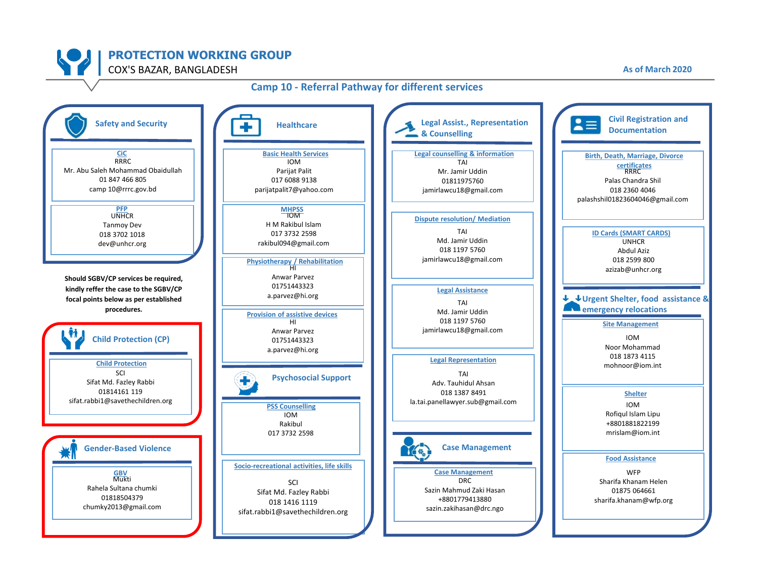![](_page_13_Picture_0.jpeg)

![](_page_13_Figure_2.jpeg)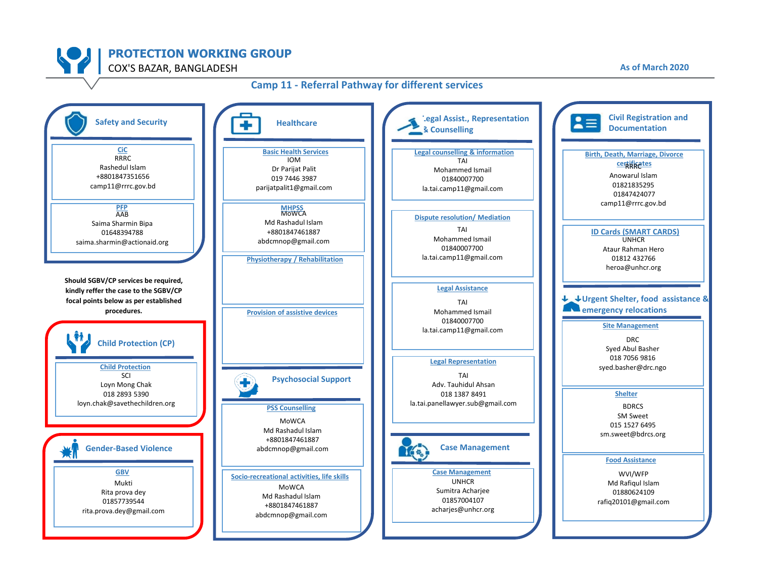![](_page_14_Figure_0.jpeg)

#### **Camp 11 - Referral Pathway for different services**

![](_page_14_Figure_2.jpeg)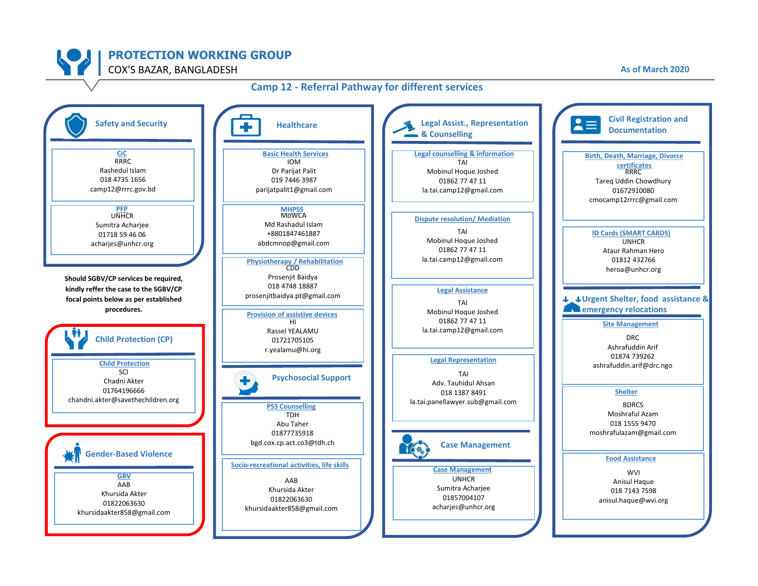![](_page_15_Picture_0.jpeg)

![](_page_15_Figure_2.jpeg)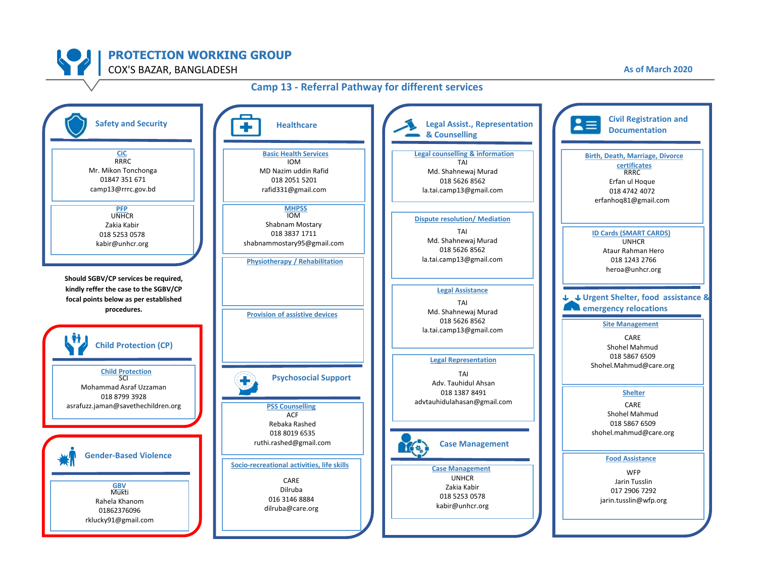![](_page_16_Picture_0.jpeg)

![](_page_16_Figure_2.jpeg)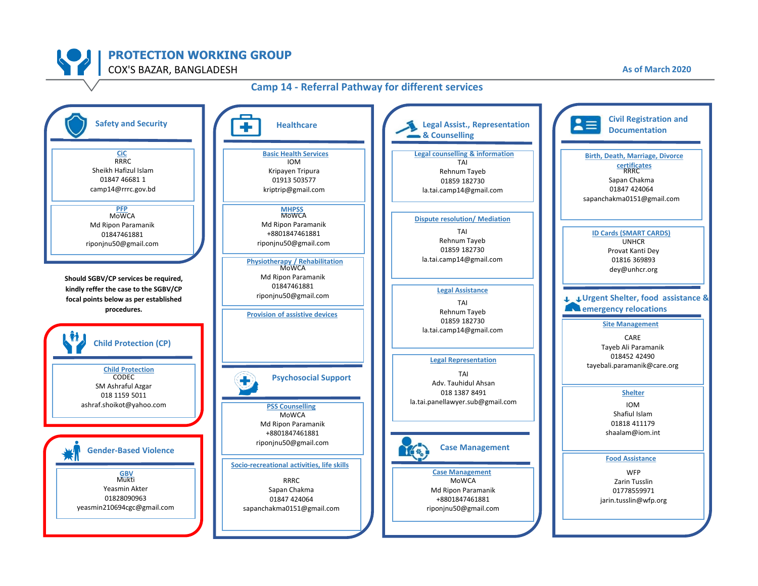![](_page_17_Picture_0.jpeg)

## **Camp 14 - Referral Pathway for different services**

![](_page_17_Figure_2.jpeg)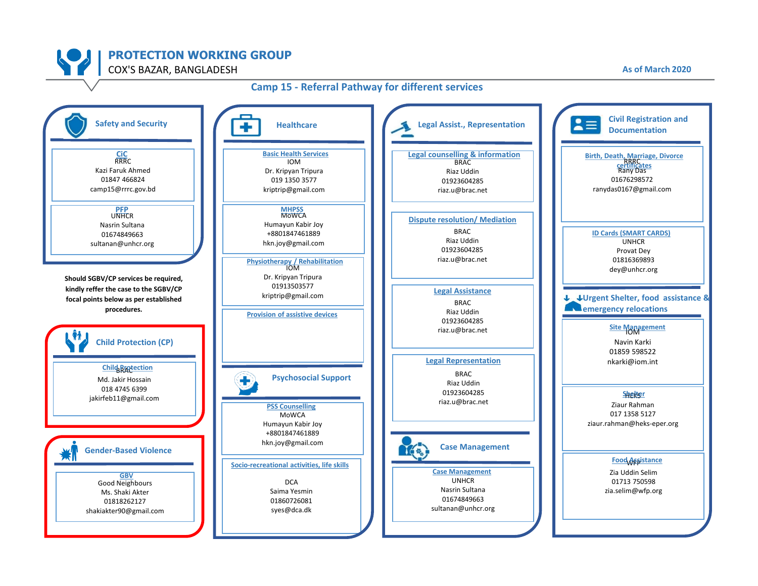![](_page_18_Picture_0.jpeg)

![](_page_18_Figure_2.jpeg)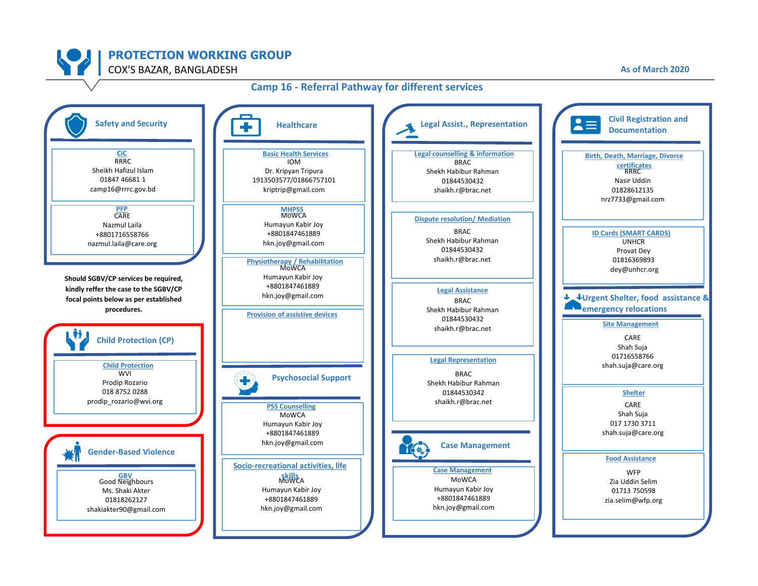![](_page_19_Picture_0.jpeg)

![](_page_19_Figure_2.jpeg)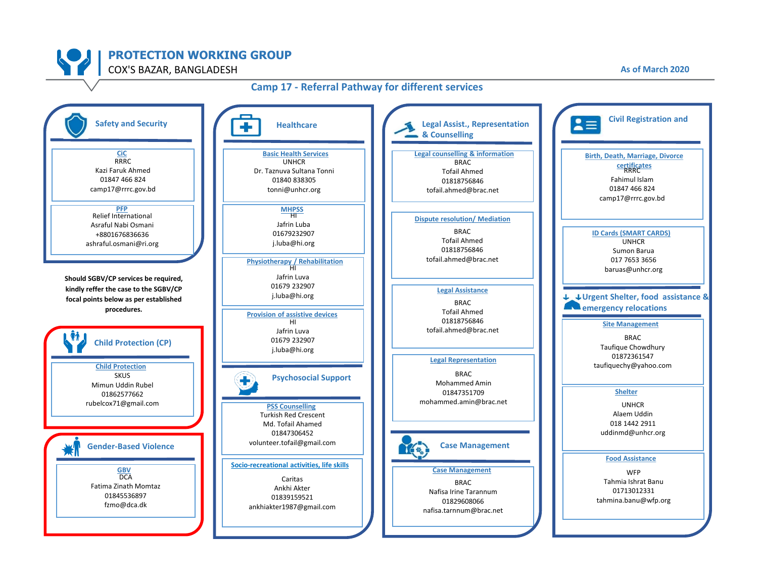![](_page_20_Picture_0.jpeg)

![](_page_20_Figure_2.jpeg)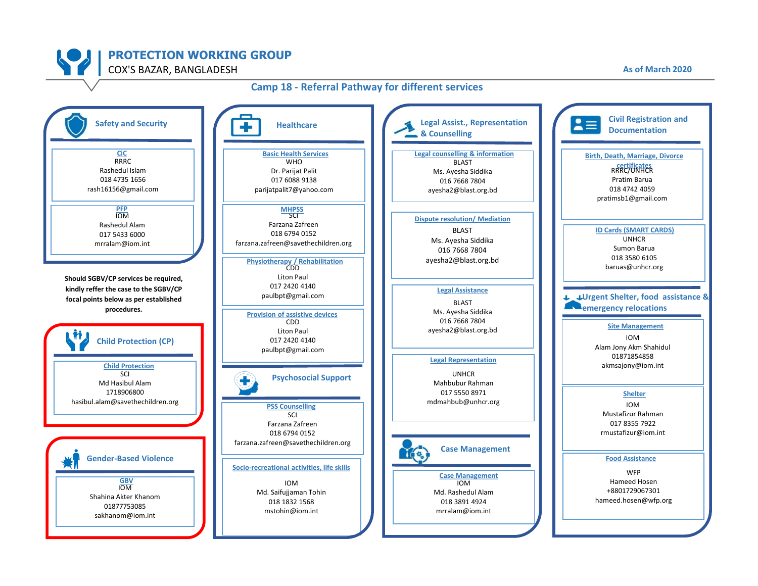![](_page_21_Picture_0.jpeg)

#### **Camp 18 - Referral Pathway for different services**

![](_page_21_Figure_2.jpeg)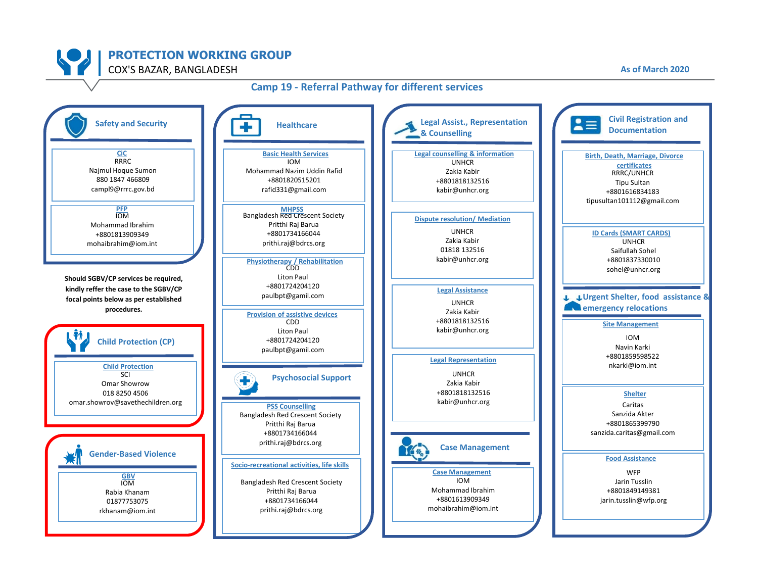![](_page_22_Picture_0.jpeg)

![](_page_22_Figure_2.jpeg)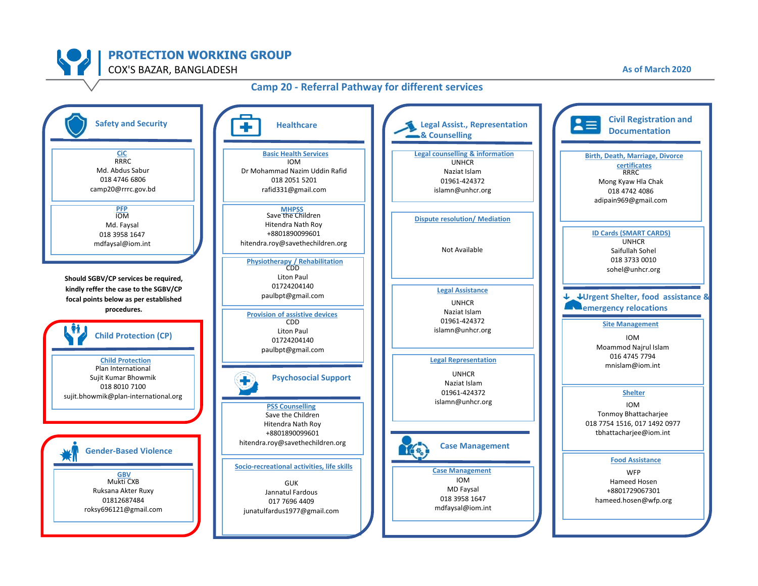![](_page_23_Picture_0.jpeg)

![](_page_23_Figure_2.jpeg)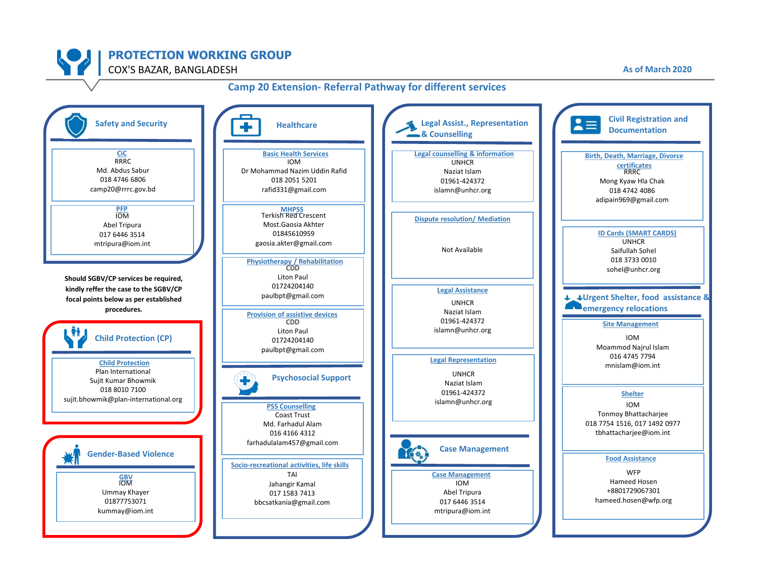![](_page_24_Picture_0.jpeg)

![](_page_24_Figure_2.jpeg)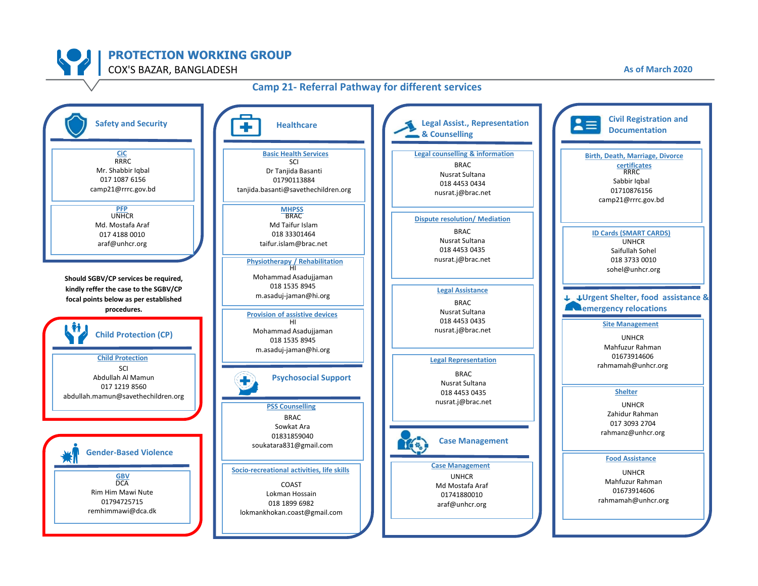![](_page_25_Picture_0.jpeg)

![](_page_25_Figure_2.jpeg)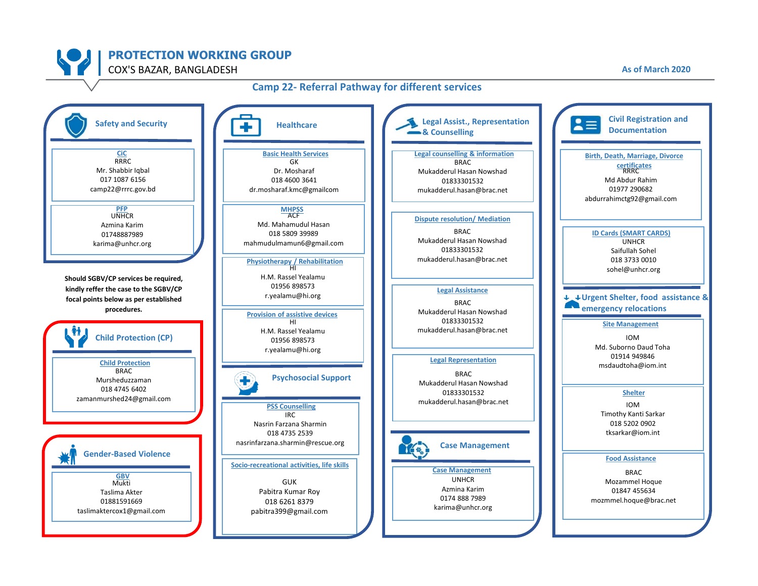![](_page_26_Picture_0.jpeg)

#### **Camp 22- Referral Pathway for different services**

![](_page_26_Figure_2.jpeg)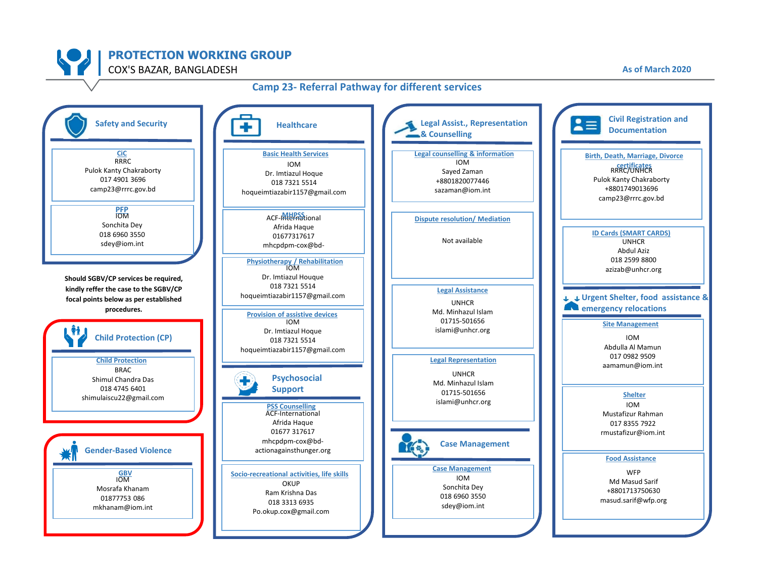![](_page_27_Picture_0.jpeg)

![](_page_27_Figure_2.jpeg)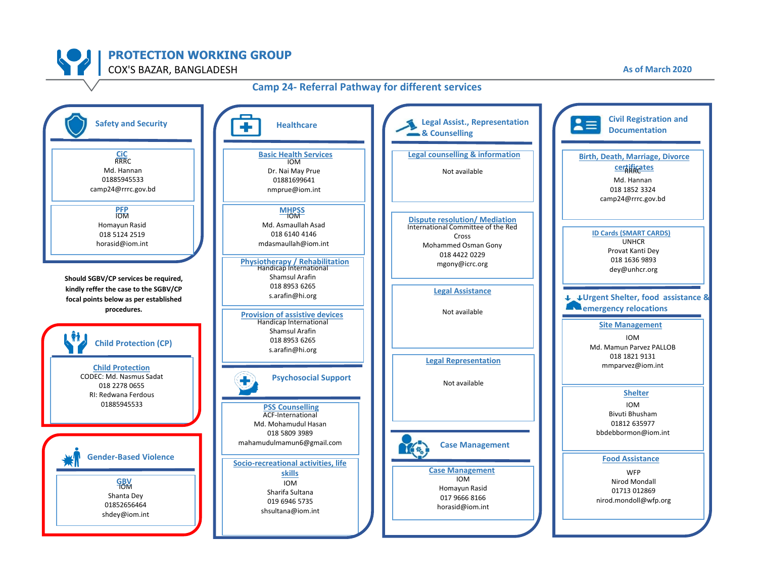![](_page_28_Picture_0.jpeg)

![](_page_28_Figure_2.jpeg)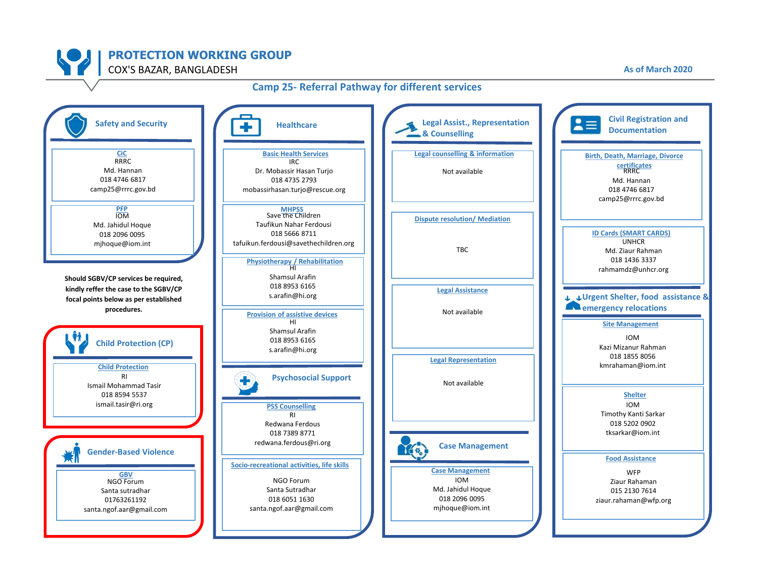![](_page_29_Picture_0.jpeg)

![](_page_29_Figure_2.jpeg)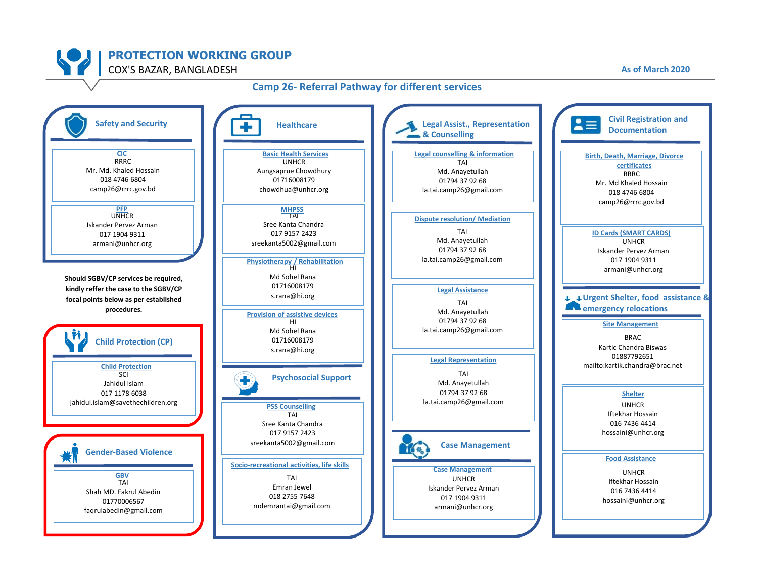![](_page_30_Picture_0.jpeg)

### **Camp 26- Referral Pathway for different services**

![](_page_30_Figure_2.jpeg)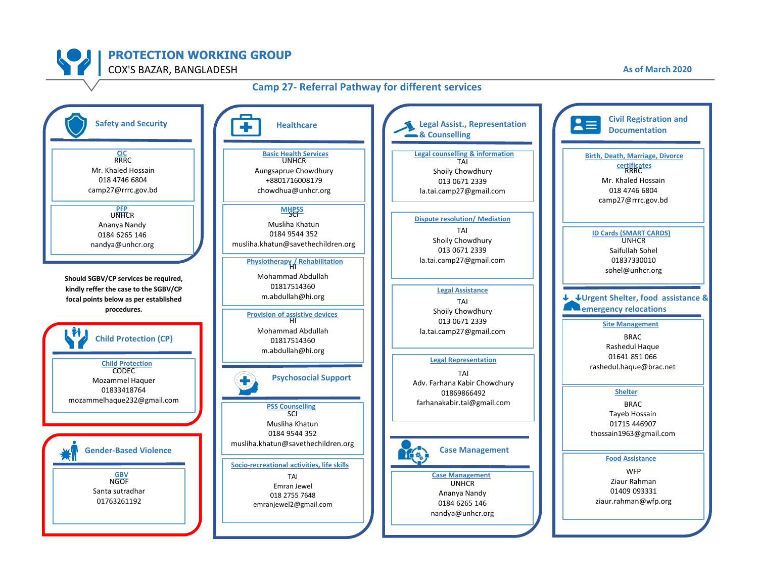**PROTECTION WORKING GROUP**

![](_page_31_Figure_2.jpeg)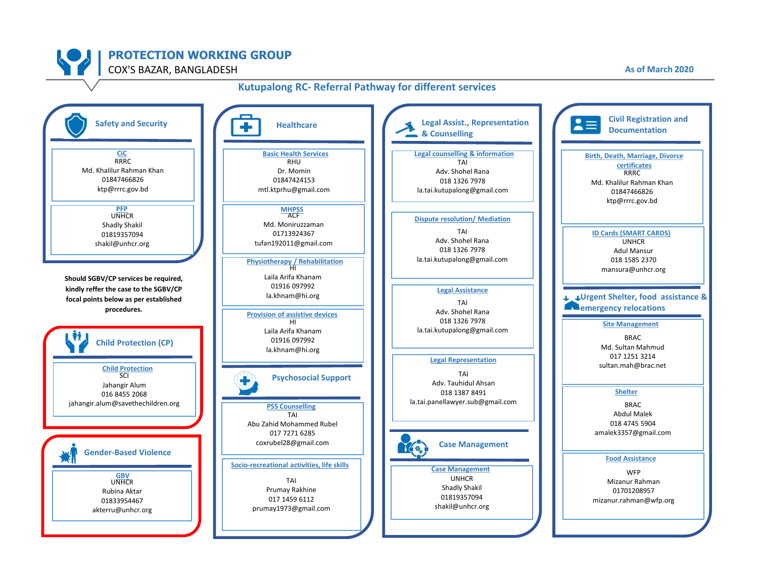![](_page_32_Picture_0.jpeg)

![](_page_32_Figure_2.jpeg)